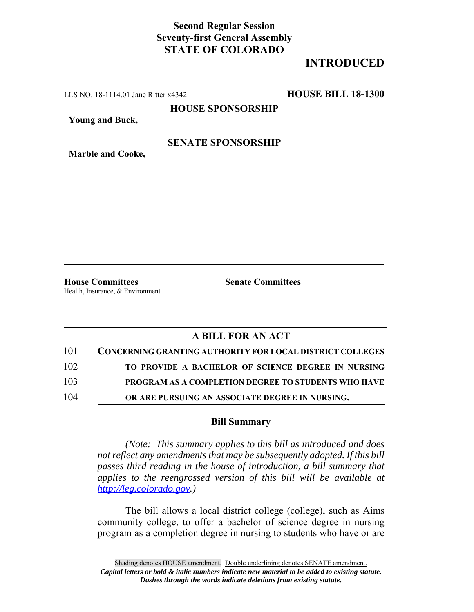## **Second Regular Session Seventy-first General Assembly STATE OF COLORADO**

# **INTRODUCED**

LLS NO. 18-1114.01 Jane Ritter x4342 **HOUSE BILL 18-1300**

**HOUSE SPONSORSHIP**

**Young and Buck,**

#### **SENATE SPONSORSHIP**

**Marble and Cooke,**

**House Committees Senate Committees** Health, Insurance, & Environment

### **A BILL FOR AN ACT**

| 101 | <b>CONCERNING GRANTING AUTHORITY FOR LOCAL DISTRICT COLLEGES</b> |
|-----|------------------------------------------------------------------|
| 102 | TO PROVIDE A BACHELOR OF SCIENCE DEGREE IN NURSING               |
| 103 | <b>PROGRAM AS A COMPLETION DEGREE TO STUDENTS WHO HAVE</b>       |
| 104 | OR ARE PURSUING AN ASSOCIATE DEGREE IN NURSING.                  |

#### **Bill Summary**

*(Note: This summary applies to this bill as introduced and does not reflect any amendments that may be subsequently adopted. If this bill passes third reading in the house of introduction, a bill summary that applies to the reengrossed version of this bill will be available at http://leg.colorado.gov.)*

The bill allows a local district college (college), such as Aims community college, to offer a bachelor of science degree in nursing program as a completion degree in nursing to students who have or are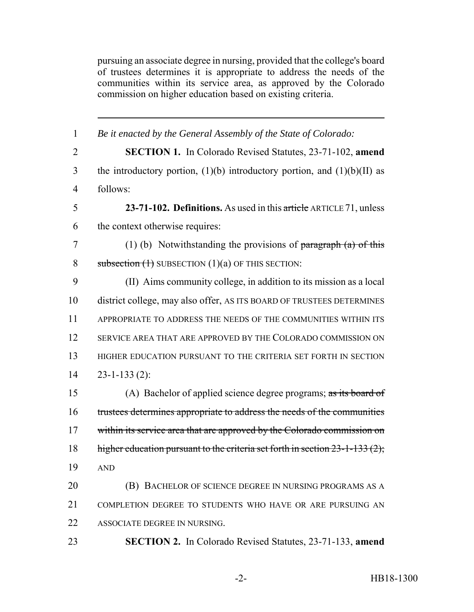pursuing an associate degree in nursing, provided that the college's board of trustees determines it is appropriate to address the needs of the communities within its service area, as approved by the Colorado commission on higher education based on existing criteria.

| 1              | Be it enacted by the General Assembly of the State of Colorado:                     |
|----------------|-------------------------------------------------------------------------------------|
| $\overline{2}$ | <b>SECTION 1.</b> In Colorado Revised Statutes, 23-71-102, amend                    |
| 3              | the introductory portion, $(1)(b)$ introductory portion, and $(1)(b)(II)$ as        |
| $\overline{4}$ | follows:                                                                            |
| 5              | 23-71-102. Definitions. As used in this article ARTICLE 71, unless                  |
| 6              | the context otherwise requires:                                                     |
| 7              | (1) (b) Notwithstanding the provisions of $\frac{\partial f}{\partial x}$ be this   |
| 8              | subsection $(1)$ SUBSECTION $(1)(a)$ OF THIS SECTION:                               |
| 9              | (II) Aims community college, in addition to its mission as a local                  |
| 10             | district college, may also offer, AS ITS BOARD OF TRUSTEES DETERMINES               |
| 11             | APPROPRIATE TO ADDRESS THE NEEDS OF THE COMMUNITIES WITHIN ITS                      |
| 12             | SERVICE AREA THAT ARE APPROVED BY THE COLORADO COMMISSION ON                        |
| 13             | HIGHER EDUCATION PURSUANT TO THE CRITERIA SET FORTH IN SECTION                      |
| 14             | $23 - 1 - 133(2)$ :                                                                 |
| 15             | (A) Bachelor of applied science degree programs; $\frac{1}{\text{as its board of}}$ |
| 16             | trustees determines appropriate to address the needs of the communities             |
| 17             | within its service area that are approved by the Colorado commission on             |
| 18             | higher education pursuant to the criteria set forth in section $23-1-133(2)$ ;      |
| 19             | <b>AND</b>                                                                          |
| 20             | (B) BACHELOR OF SCIENCE DEGREE IN NURSING PROGRAMS AS A                             |
| 21             | COMPLETION DEGREE TO STUDENTS WHO HAVE OR ARE PURSUING AN                           |
| 22             | ASSOCIATE DEGREE IN NURSING.                                                        |
| 23             | <b>SECTION 2.</b> In Colorado Revised Statutes, 23-71-133, amend                    |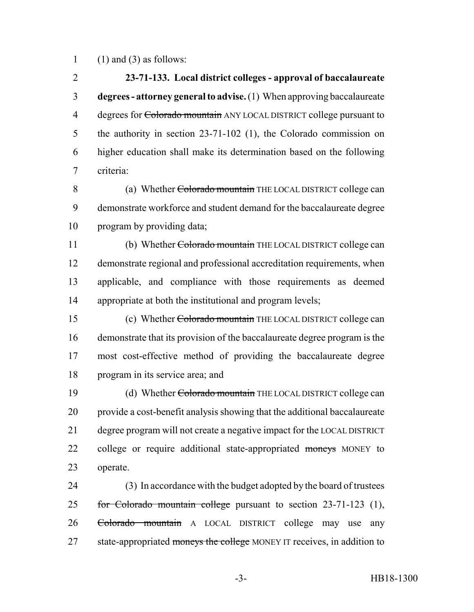1 (1) and (3) as follows:

 **23-71-133. Local district colleges - approval of baccalaureate degrees - attorney general to advise.** (1) When approving baccalaureate 4 degrees for Colorado mountain ANY LOCAL DISTRICT college pursuant to the authority in section 23-71-102 (1), the Colorado commission on higher education shall make its determination based on the following criteria:

8 (a) Whether Colorado mountain THE LOCAL DISTRICT college can demonstrate workforce and student demand for the baccalaureate degree program by providing data;

11 (b) Whether Colorado mountain THE LOCAL DISTRICT college can demonstrate regional and professional accreditation requirements, when applicable, and compliance with those requirements as deemed appropriate at both the institutional and program levels;

 (c) Whether Colorado mountain THE LOCAL DISTRICT college can demonstrate that its provision of the baccalaureate degree program is the most cost-effective method of providing the baccalaureate degree program in its service area; and

19 (d) Whether Colorado mountain THE LOCAL DISTRICT college can provide a cost-benefit analysis showing that the additional baccalaureate degree program will not create a negative impact for the LOCAL DISTRICT 22 college or require additional state-appropriated moneys MONEY to operate.

 (3) In accordance with the budget adopted by the board of trustees for Colorado mountain college pursuant to section 23-71-123 (1), Colorado mountain A LOCAL DISTRICT college may use any 27 state-appropriated moneys the college MONEY IT receives, in addition to